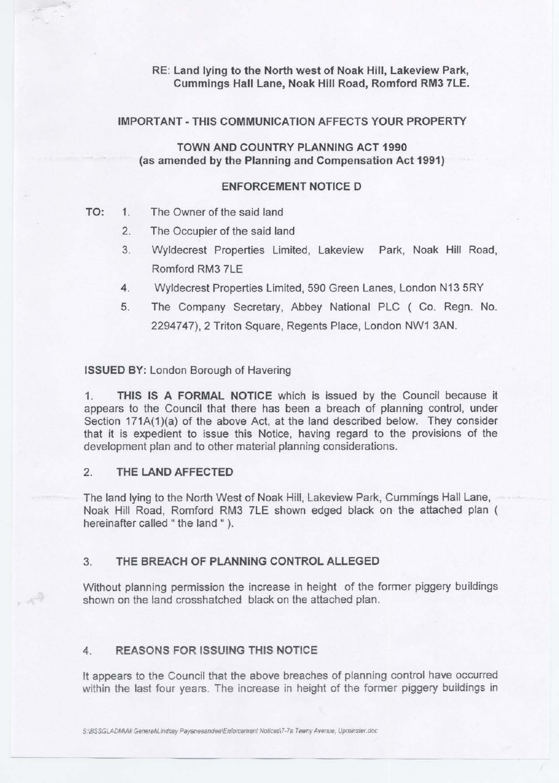RE: Land lying to the North west of Noak Hill, Lakeview Park, Cummings Hall Lane, Noak Hill Road, Romford RM3 7LE.

#### IMPORTANT-THIS COMMUNICATION AFFECTS YOUR PROPERTY

TOWN AND COUNTRY PLANNING ACT 1990 (as amended by the Planning and Compensation Act 1991)

### ENFORCEMENT NOTICE D

## TO: 1. The Owner of the said land

- 2. The Occupier of the said land
- 3. Wyldecrest Properties Limited, Lakeview Park, Noak Hill Road, Romford RM3 7LE
- 4. Wyldecrest Properties Limited, 590 Green Lanes, London N13 5RY
- 5. The Company Secretary, Abbey National PLC ( Co. Regn. No. 2294747), 2 Triton Square, Regents Place, London NW1 3AN.

#### ISSUED BY: London Borough of Havering

1. THIS IS A FORMAL NOTICE which is issued by the Council because it appears to the Council that there has been a breach of planning control, under Section 171A(1)(a) of the above Act, at the land described below. They consider that it is expedient to issue this Notice, having regard to the provisions of the development plan and to other material planning considerations.

## 2 THE LAND AFFECTED

 $\mathcal{A}^{\frac{N}{2}}$ 

The land lying to the North West of Noak Hill, Lakeview Park, Cummings Hall Lane, Noak Hill Road, Romford RM3 7LE shown edged black on the attached plan ( hereinafter called " the land " ).

# 3. THE BREACH OF PLANNING CONTROL ALLEGED

Without planning permission the increase in height of the former piggery buildings shown on the land crosshatched black on the attached plan.

## 4. REASONS FOR ISSUING THIS NOTICE

It appears to the Council that the above breaches of planning control have occurred within the last four years. The increase in height of the former piggery buildings in

S:\BSSGLADM\AII GeneraN.indsay Payaneeandee\Enforcement Notices\7-7a Tawny Avenue, Upminster.doc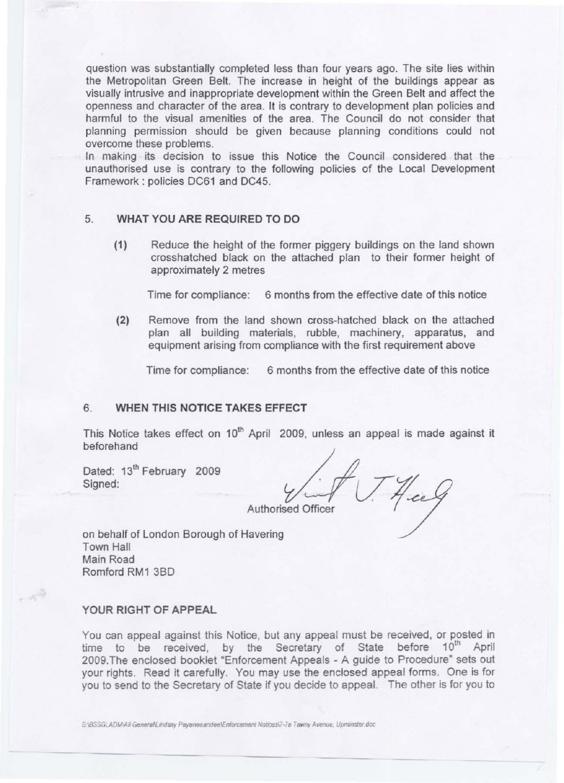question was substantially completed less than four years ago. The site lies within the Metropolitan Green Belt. The increase in height of the buildings appear as visually intrusive and inappropriate development within the Green Belt and affect the openness and character of the area. It is contrary to development plan policies and harmful to the visual amenities of the area. The Council do not consider that planning permission should be given because planning conditions could not overcome these problems.

In making its decision to issue this Notice the Council considered that the unauthorised use is contrary to the following policies of the Local Development Framework : policies DC61 and DC45.

## 5. WHAT YOU ARE REQUIRED TO DO

(1) Reduce the height of the former piggery buildings on the land shown crosshatched black on the attached plan to their former height of approximately 2 metres

Time for compliance: 6 months from the effective date of this notice

(2) Remove from the land shown cross-hatched black on the attached plan all building materials, rubble, machinery, apparatus, and equipment arising from compliance with the first requirement above

Time for compliance: 6 months from the effective date of this notice

## **6. WHEN THIS NOTICE TAKES EFFECT**

This Notice takes effect on 10<sup>th</sup> April 2009, unless an appeal is made against it beforehand

Dated: 13<sup>th</sup> February 2009 Signed:

**Authorised Officer** 

on behalf of London Borough of Havering Town Hall Main Road Romford RM1 3BD

#### YOUR RIGHT OF APPEAL

, 39

You can appeal against this Notice, but any appeal must be received, or posted in time to be received, by the Secretary of State before 10<sup>th</sup> April 2009.The enclosed booklet "Enforcement Appeals - A guide to Procedure" sets out your rights. Read it carefully. You may use the enclosed appeal forms. One is for you to send to the Secretary of State if you decide to appeal. The other is for you to

S:\BSSGLADM\All GenerahLindsay Payaneeandee\Enforcement Notices\7-7a Tawny Avenue, Upminster.doc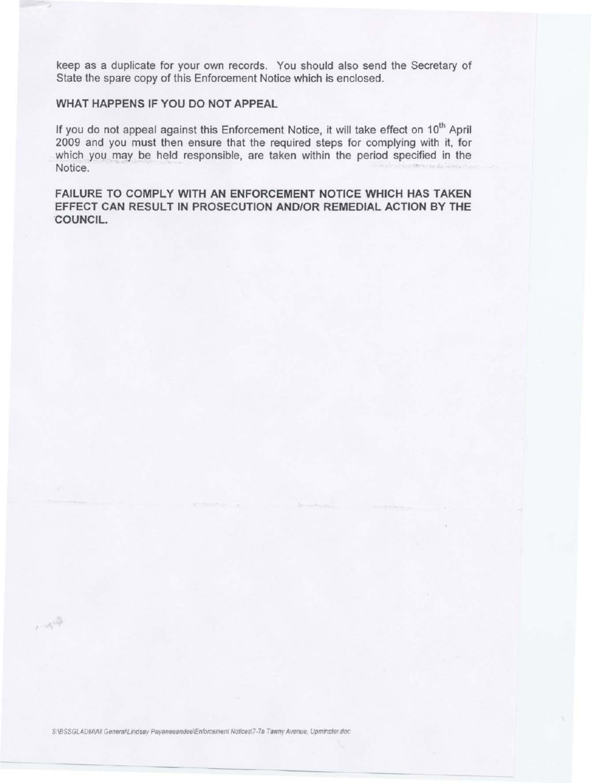keep as a duplicate for your own records. You should also send the Secretary of State the spare copy of this Enforcement Notice which is enclosed.

# **WHAT HAPPENS IF YOU DO NOT APPEAL**

If you do not appeal against this Enforcement Notice, it will take effect on 10<sup>th</sup> April 2009 and you must then ensure that the required steps for complying with it, for which you may be held responsible, are taken within the period specified in the Notice.

**FAILURE TO COMPLY WITH AN ENFORCEMENT NOTICE WHICH HAS TAKEN EFFECT CAN RESULT IN PROSECUTION AND/OR REMEDIAL ACTION BY THE COUNCIL.** 

SABSSGLADMAII GeneraNLindsay Payaneeandee\Enforcement Notices\7-7a Tawny Avenue, Upminster.doc

 $\sim 10^{10}$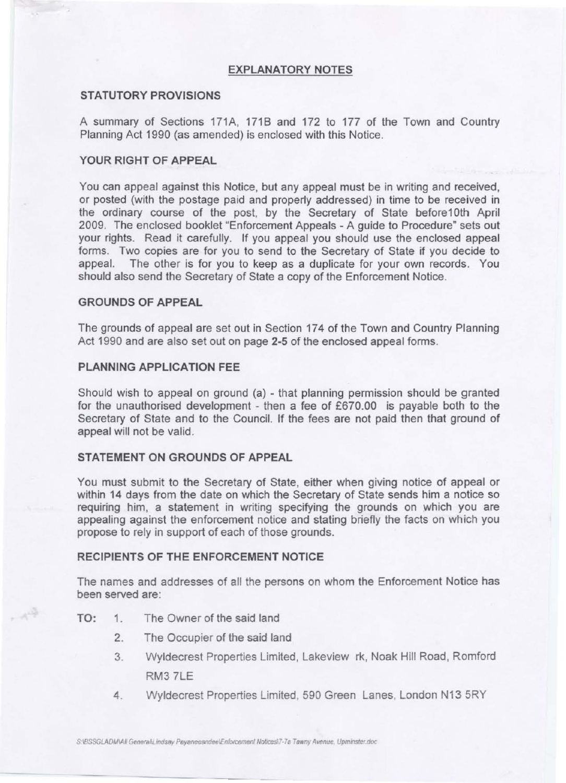## **EXPLANATORY NOTES**

## **STATUTORY PROVISIONS**

A summary of Sections 171A, 1718 and 172 to 177 of the Town and Country Planning Act 1990 (as amended) is enclosed with this Notice.

## **YOUR RIGHT OF APPEAL**

You can appeal against this Notice, but any appeal must be in writing and received, or posted (with the postage paid and properly addressed) in time to be received in the ordinary course of the post, by the Secretary of State before10th April 2009. The enclosed booklet "Enforcement Appeals - A guide to Procedure" sets out your rights. Read it carefully. If you appeal you should use the enclosed appeal forms. Two copies are for you to send to the Secretary of State if you decide to appeal. The other is for you to keep as a duplicate for your own records. You should also send the Secretary of State a copy of the Enforcement Notice.

#### **GROUNDS OF APPEAL**

The grounds of appeal are set out in Section 174 of the Town and Country Planning Act 1990 and are also set out on page **2-5** of the enclosed appeal forms.

## **PLANNING APPLICATION FEE**

Should wish to appeal on ground (a) - that planning permission should be granted for the unauthorised development - then a fee of £670.00 is payable both to the Secretary of State and to the Council. If the fees are not paid then that ground of appeal will not be valid.

### **STATEMENT ON GROUNDS OF APPEAL**

You must submit to the Secretary of State, either when giving notice of appeal or within 14 days from the date on which the Secretary of State sends him a notice so requiring him, a statement in writing specifying the grounds on which you are appealing against the enforcement notice and stating briefly the facts on which you propose to rely in support of each of those grounds.

## **RECIPIENTS OF THE ENFORCEMENT NOTICE**

The names and addresses of all the persons on whom the Enforcement Notice has been served are:

**TO:** 1. The Owner of the said land

 $\mathcal{A}^{\frac{15}{2}}$ 

- 2. The Occupier of the said land
- 3. Wyldecrest Properties Limited, Lakeview rk, Noak Hill Road, Romford RM3 ?LE
- 4. Wyldecrest Properties Limited, 590 Green Lanes, London N13 5RY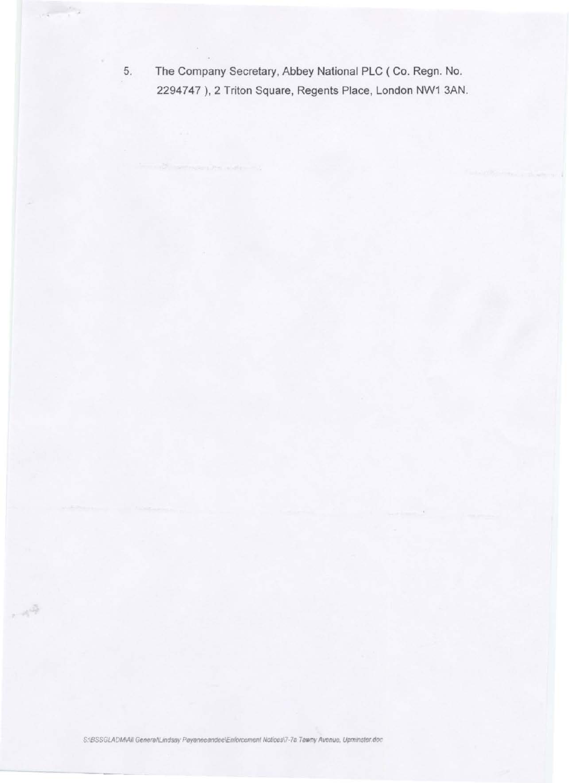5. The Company Secretary, Abbey National PLC (Co. Regn. No. 2294747), 2 Triton Square, Regents Place, London NW1 3AN.

 $-1^{3}$